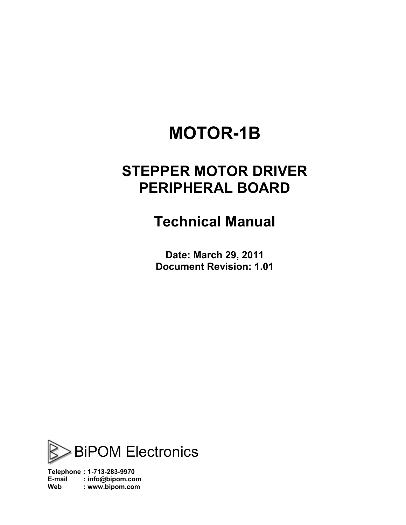# **MOTOR-1B**

## **STEPPER MOTOR DRIVER PERIPHERAL BOARD**

## **Technical Manual**

**Date: March 29, 2011 Document Revision: 1.01** 



**Telephone : 1-713-283-9970 E-mail : [info@bipom.com](mailto:info@bipom.com) Web : [www.bipom.com](http://www.bipom.com)**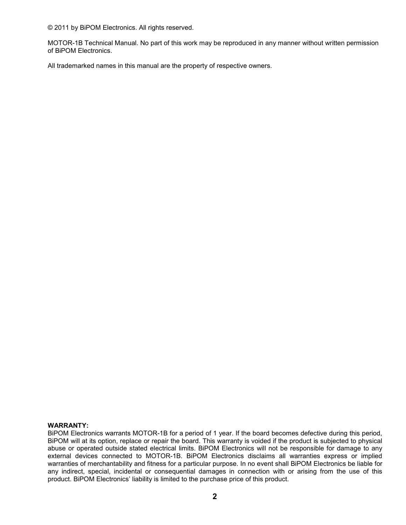© 2011 by BiPOM Electronics. All rights reserved.

MOTOR-1B Technical Manual. No part of this work may be reproduced in any manner without written permission of BiPOM Electronics.

All trademarked names in this manual are the property of respective owners.

#### **WARRANTY:**

BiPOM Electronics warrants MOTOR-1B for a period of 1 year. If the board becomes defective during this period, BiPOM will at its option, replace or repair the board. This warranty is voided if the product is subjected to physical abuse or operated outside stated electrical limits. BiPOM Electronics will not be responsible for damage to any external devices connected to MOTOR-1B. BiPOM Electronics disclaims all warranties express or implied warranties of merchantability and fitness for a particular purpose. In no event shall BiPOM Electronics be liable for any indirect, special, incidental or consequential damages in connection with or arising from the use of this product. BiPOM Electronics' liability is limited to the purchase price of this product.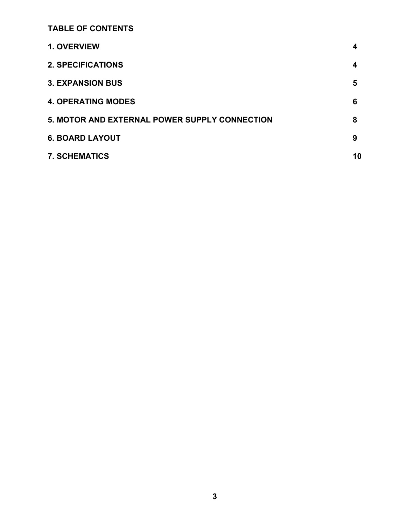**TABLE OF CONTENTS** 

| 1. OVERVIEW                                   | 4  |
|-----------------------------------------------|----|
| <b>2. SPECIFICATIONS</b>                      | 4  |
| <b>3. EXPANSION BUS</b>                       | 5  |
| <b>4. OPERATING MODES</b>                     | 6  |
| 5. MOTOR AND EXTERNAL POWER SUPPLY CONNECTION | 8  |
| <b>6. BOARD LAYOUT</b>                        | 9  |
| <b>7. SCHEMATICS</b>                          | 10 |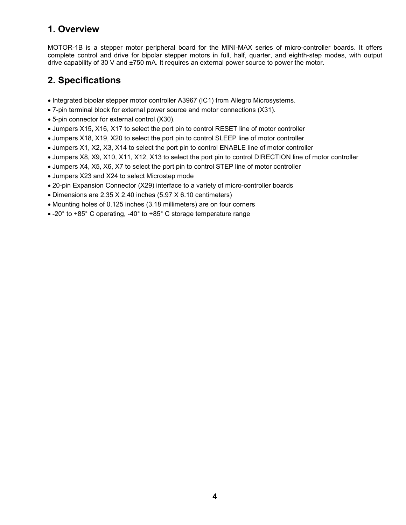### **1. Overview**

MOTOR-1B is a stepper motor peripheral board for the MINI-MAX series of micro-controller boards. It offers complete control and drive for bipolar stepper motors in full, half, quarter, and eighth-step modes, with output drive capability of 30 V and ±750 mA. It requires an external power source to power the motor.

## **2. Specifications**

- · Integrated bipolar stepper motor controller A3967 (IC1) from Allegro Microsystems.
- · 7-pin terminal block for external power source and motor connections (X31).
- · 5-pin connector for external control (X30).
- · Jumpers X15, X16, X17 to select the port pin to control RESET line of motor controller
- · Jumpers X18, X19, X20 to select the port pin to control SLEEP line of motor controller
- · Jumpers X1, X2, X3, X14 to select the port pin to control ENABLE line of motor controller
- · Jumpers X8, X9, X10, X11, X12, X13 to select the port pin to control DIRECTION line of motor controller
- · Jumpers X4, X5, X6, X7 to select the port pin to control STEP line of motor controller
- · Jumpers X23 and X24 to select Microstep mode
- · 20-pin Expansion Connector (X29) interface to a variety of micro-controller boards
- · Dimensions are 2.35 X 2.40 inches (5.97 X 6.10 centimeters)
- · Mounting holes of 0.125 inches (3.18 millimeters) are on four corners
- · -20° to +85° C operating, -40° to +85° C storage temperature range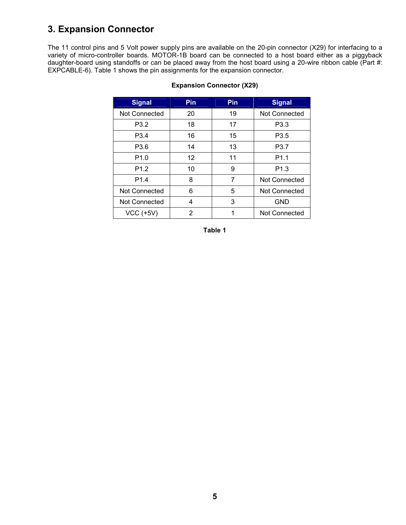## **3. Expansion Connector**

The 11 control pins and 5 Volt power supply pins are available on the 20-pin connector (X29) for interfacing to a variety of micro-controller boards. MOTOR-1B board can be connected to a host board either as a piggyback daughter-board using standoffs or can be placed away from the host board using a 20-wire ribbon cable (Part #: EXPCABLE-6). Table 1 shows the pin assignments for the expansion connector.

| <b>Signal</b>        | <b>Pin</b>        | Pin | <b>Signal</b>    |
|----------------------|-------------------|-----|------------------|
| Not Connected        | 20                | 19  | Not Connected    |
| P <sub>3.2</sub>     | 18                | 17  | P <sub>3.3</sub> |
| P <sub>3.4</sub>     | 16                | 15  | P3.5             |
| P <sub>3.6</sub>     | 14                | 13  | P3.7             |
| P <sub>1.0</sub>     | $12 \overline{ }$ | 11  | P <sub>1.1</sub> |
| P <sub>1.2</sub>     | 10                | 9   | P <sub>1.3</sub> |
| P <sub>1.4</sub>     | 8                 | 7   | Not Connected    |
| <b>Not Connected</b> | 6                 | 5   | Not Connected    |
| <b>Not Connected</b> | 4                 | 3   | <b>GND</b>       |
| <b>VCC (+5V)</b>     | 2                 | 1   | Not Connected    |

#### **Expansion Connector (X29)**

**Table 1**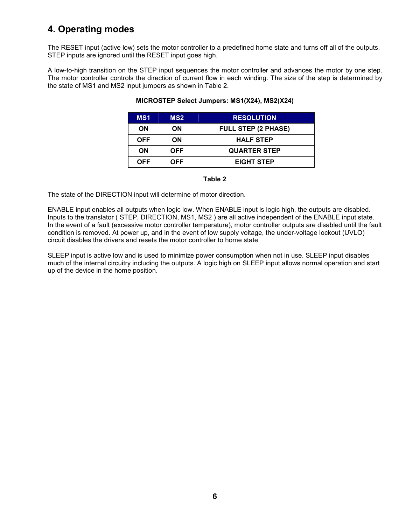## **4. Operating modes**

The RESET input (active low) sets the motor controller to a predefined home state and turns off all of the outputs. STEP inputs are ignored until the RESET input goes high.

A low-to-high transition on the STEP input sequences the motor controller and advances the motor by one step. The motor controller controls the direction of current flow in each winding. The size of the step is determined by the state of MS1 and MS2 input jumpers as shown in Table 2.

| MS <sub>1</sub> | MS <sub>2</sub> | <b>RESOLUTION</b>          |
|-----------------|-----------------|----------------------------|
| ΟN              | OΝ              | <b>FULL STEP (2 PHASE)</b> |
| <b>OFF</b>      | OΝ              | <b>HALF STEP</b>           |
| ΟN              | <b>OFF</b>      | <b>QUARTER STEP</b>        |
| <b>OFF</b>      | OFF             | <b>EIGHT STEP</b>          |

#### **MICROSTEP Select Jumpers: MS1(X24), MS2(X24)**

#### **Table 2**

The state of the DIRECTION input will determine of motor direction.

ENABLE input enables all outputs when logic low. When ENABLE input is logic high, the outputs are disabled. Inputs to the translator ( STEP, DIRECTION, MS1, MS2 ) are all active independent of the ENABLE input state. In the event of a fault (excessive motor controller temperature), motor controller outputs are disabled until the fault condition is removed. At power up, and in the event of low supply voltage, the under-voltage lockout (UVLO) circuit disables the drivers and resets the motor controller to home state.

SLEEP input is active low and is used to minimize power consumption when not in use. SLEEP input disables much of the internal circuitry including the outputs. A logic high on SLEEP input allows normal operation and start up of the device in the home position.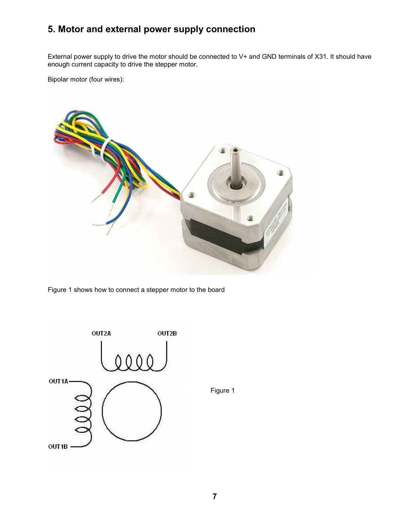## **5. Motor and external power supply connection**

External power supply to drive the motor should be connected to V+ and GND terminals of X31. It should have enough current capacity to drive the stepper motor.

Bipolar motor (four wires):



Figure 1 shows how to connect a stepper motor to the board



Figure 1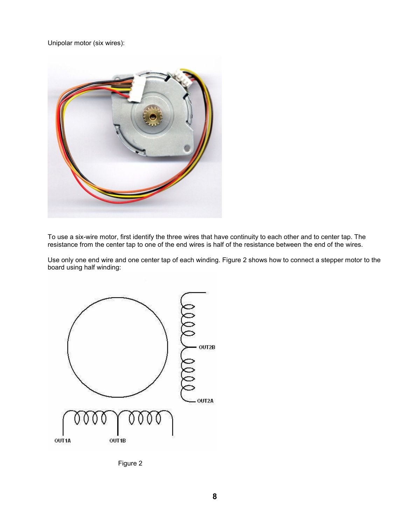Unipolar motor (six wires):



To use a six-wire motor, first identify the three wires that have continuity to each other and to center tap. The resistance from the center tap to one of the end wires is half of the resistance between the end of the wires.

Use only one end wire and one center tap of each winding. Figure 2 shows how to connect a stepper motor to the board using half winding:



Figure 2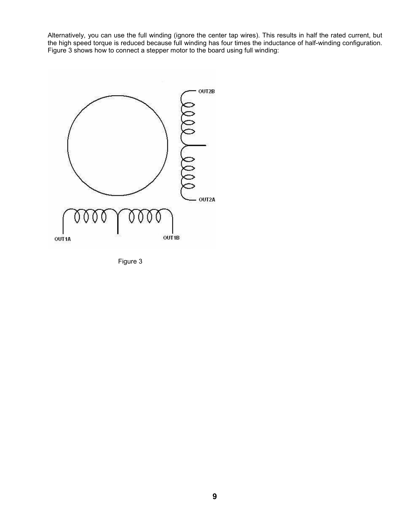Alternatively, you can use the full winding (ignore the center tap wires). This results in half the rated current, but the high speed torque is reduced because full winding has four times the inductance of half-winding configuration. Figure 3 shows how to connect a stepper motor to the board using full winding:



Figure 3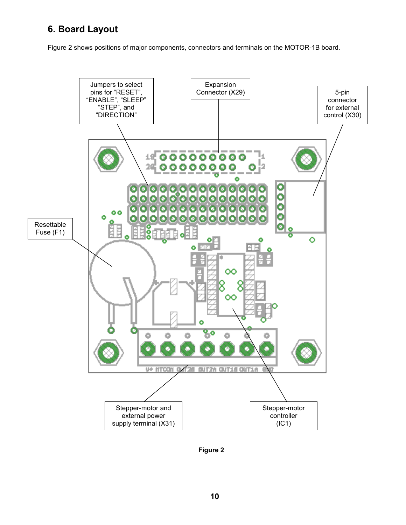## **6. Board Layout**

Figure 2 shows positions of major components, connectors and terminals on the MOTOR-1B board.



**Figure 2**